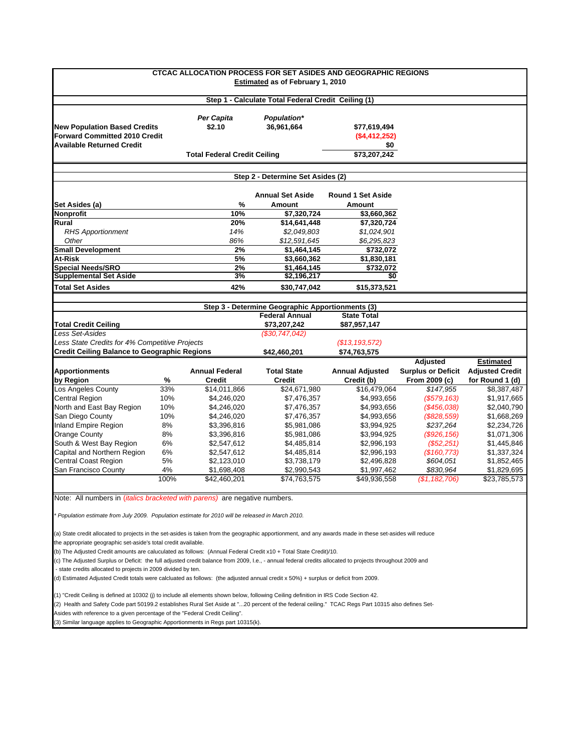| <b>CTCAC ALLOCATION PROCESS FOR SET ASIDES AND GEOGRAPHIC REGIONS</b><br><b>Estimated as of February 1, 2010</b>                                         |      |                                     |                                                  |                          |                           |                        |  |  |  |
|----------------------------------------------------------------------------------------------------------------------------------------------------------|------|-------------------------------------|--------------------------------------------------|--------------------------|---------------------------|------------------------|--|--|--|
| Step 1 - Calculate Total Federal Credit Ceiling (1)                                                                                                      |      |                                     |                                                  |                          |                           |                        |  |  |  |
| <b>New Population Based Credits</b>                                                                                                                      |      | Per Capita<br>\$2.10                | Population*<br>36,961,664                        | \$77,619,494             |                           |                        |  |  |  |
| <b>Forward Committed 2010 Credit</b>                                                                                                                     |      |                                     |                                                  | ( \$4,412,252)           |                           |                        |  |  |  |
| <b>Available Returned Credit</b>                                                                                                                         |      |                                     |                                                  | \$0                      |                           |                        |  |  |  |
|                                                                                                                                                          |      | <b>Total Federal Credit Ceiling</b> |                                                  | \$73,207,242             |                           |                        |  |  |  |
|                                                                                                                                                          |      |                                     |                                                  |                          |                           |                        |  |  |  |
|                                                                                                                                                          |      |                                     | Step 2 - Determine Set Asides (2)                |                          |                           |                        |  |  |  |
|                                                                                                                                                          |      |                                     | <b>Annual Set Aside</b>                          | <b>Round 1 Set Aside</b> |                           |                        |  |  |  |
| Set Asides (a)                                                                                                                                           |      | %                                   | Amount                                           | Amount                   |                           |                        |  |  |  |
| Nonprofit                                                                                                                                                |      | 10%                                 | \$7,320,724                                      | \$3,660,362              |                           |                        |  |  |  |
| Rural                                                                                                                                                    |      | 20%                                 | \$14,641,448                                     | \$7,320,724              |                           |                        |  |  |  |
| <b>RHS Apportionment</b>                                                                                                                                 |      | 14%                                 | \$2,049,803                                      | \$1,024,901              |                           |                        |  |  |  |
| Other                                                                                                                                                    |      | 86%                                 | \$12,591,645                                     | \$6,295,823              |                           |                        |  |  |  |
| <b>Small Development</b>                                                                                                                                 |      | 2%                                  | \$1,464,145                                      | \$732,072                |                           |                        |  |  |  |
| <b>At-Risk</b>                                                                                                                                           |      | 5%                                  | \$3,660,362                                      | \$1,830,181              |                           |                        |  |  |  |
| <b>Special Needs/SRO</b>                                                                                                                                 |      | 2%                                  | \$1,464,145                                      | \$732,072                |                           |                        |  |  |  |
| <b>Supplemental Set Aside</b>                                                                                                                            |      | 3%                                  | \$2,196,217                                      | \$0                      |                           |                        |  |  |  |
| <b>Total Set Asides</b>                                                                                                                                  |      | 42%                                 | \$30,747,042                                     | \$15,373,521             |                           |                        |  |  |  |
|                                                                                                                                                          |      |                                     | Step 3 - Determine Geographic Apportionments (3) |                          |                           |                        |  |  |  |
|                                                                                                                                                          |      |                                     | <b>Federal Annual</b>                            | <b>State Total</b>       |                           |                        |  |  |  |
| <b>Total Credit Ceiling</b>                                                                                                                              |      |                                     | \$73,207,242                                     | \$87,957,147             |                           |                        |  |  |  |
| Less Set-Asides                                                                                                                                          |      |                                     | (\$30,747,042)                                   |                          |                           |                        |  |  |  |
| Less State Credits for 4% Competitive Projects                                                                                                           |      |                                     |                                                  | (\$13, 193, 572)         |                           |                        |  |  |  |
| <b>Credit Ceiling Balance to Geographic Regions</b>                                                                                                      |      |                                     | \$42,460,201                                     | \$74,763,575             |                           |                        |  |  |  |
|                                                                                                                                                          |      |                                     |                                                  |                          | <b>Adjusted</b>           | <b>Estimated</b>       |  |  |  |
| <b>Apportionments</b>                                                                                                                                    |      | <b>Annual Federal</b>               | <b>Total State</b>                               | <b>Annual Adjusted</b>   | <b>Surplus or Deficit</b> | <b>Adjusted Credit</b> |  |  |  |
| by Region                                                                                                                                                | %    | <b>Credit</b>                       | <b>Credit</b>                                    | Credit (b)               | From 2009 (c)             | for Round 1 (d)        |  |  |  |
| Los Angeles County                                                                                                                                       | 33%  | \$14,011,866                        | \$24,671,980                                     | \$16,479,064             | \$147,955                 | \$8,387,487            |  |  |  |
| Central Region                                                                                                                                           | 10%  | \$4,246,020                         | \$7,476,357                                      | \$4,993,656              | (\$579, 163)              | \$1,917,665            |  |  |  |
| North and East Bay Region                                                                                                                                | 10%  | \$4,246,020                         | \$7,476,357                                      | \$4,993,656              | $($ \$456,038)            | \$2,040,790            |  |  |  |
| San Diego County                                                                                                                                         | 10%  | \$4,246,020                         | \$7,476,357                                      | \$4,993,656              | (\$828,559)               | \$1,668,269            |  |  |  |
| Inland Empire Region                                                                                                                                     | 8%   | \$3,396,816                         | \$5,981,086                                      | \$3,994,925              | \$237,264                 | \$2,234,726            |  |  |  |
| Orange County                                                                                                                                            | 8%   | \$3,396,816                         | \$5,981,086                                      | \$3,994,925              | (\$926, 156)              | \$1,071,306            |  |  |  |
| South & West Bay Region                                                                                                                                  | 6%   | \$2,547,612                         | \$4,485,814                                      | \$2,996,193              | $(\$52,251)$              | \$1,445,846            |  |  |  |
| Capital and Northern Region                                                                                                                              | 6%   | \$2,547,612                         | \$4,485,814                                      | \$2,996,193              | (\$160, 773)              | \$1,337,324            |  |  |  |
| <b>Central Coast Region</b>                                                                                                                              | 5%   | \$2,123,010                         | \$3,738,179                                      | \$2,496,828              | \$604,051                 | \$1,852,465            |  |  |  |
| San Francisco County                                                                                                                                     | 4%   | \$1,698,408                         | \$2,990,543                                      | \$1,997,462              | \$830,964                 | \$1,829,695            |  |  |  |
|                                                                                                                                                          | 100% | \$42,460,201                        | \$74,763,575                                     | \$49,936,558             | (\$1,182,706)             | \$23,785,573           |  |  |  |
| Note: All numbers in <i>(italics bracketed with parens)</i> are negative numbers.                                                                        |      |                                     |                                                  |                          |                           |                        |  |  |  |
| * Population estimate from July 2009. Population estimate for 2010 will be released in March 2010.                                                       |      |                                     |                                                  |                          |                           |                        |  |  |  |
|                                                                                                                                                          |      |                                     |                                                  |                          |                           |                        |  |  |  |
| (a) State credit allocated to projects in the set-asides is taken from the geographic apportionment, and any awards made in these set-asides will reduce |      |                                     |                                                  |                          |                           |                        |  |  |  |
| the appropriate geographic set-aside's total credit available.                                                                                           |      |                                     |                                                  |                          |                           |                        |  |  |  |
| (b) The Adjusted Credit amounts are caluculated as follows: (Annual Federal Credit x10 + Total State Credit)/10.                                         |      |                                     |                                                  |                          |                           |                        |  |  |  |

(c) The Adjusted Surplus or Deficit: the full adjusted credit balance from 2009, I.e., - annual federal credits allocated to projects throughout 2009 and

- state credits allocated to projects in 2009 divided by ten.

(d) Estimated Adjusted Credit totals were calcluated as follows: (the adjusted annual credit x 50%) + surplus or deficit from 2009.

(1) "Credit Ceiling is defined at 10302 (j) to include all elements shown below, following Ceiling definition in IRS Code Section 42.

(2) Health and Safety Code part 50199.2 establishes Rural Set Aside at "...20 percent of the federal ceiling." TCAC Regs Part 10315 also defines Set-

Asides with reference to a given percentage of the "Federal Credit Ceiling".

(3) Similar language applies to Geographic Apportionments in Regs part 10315(k).